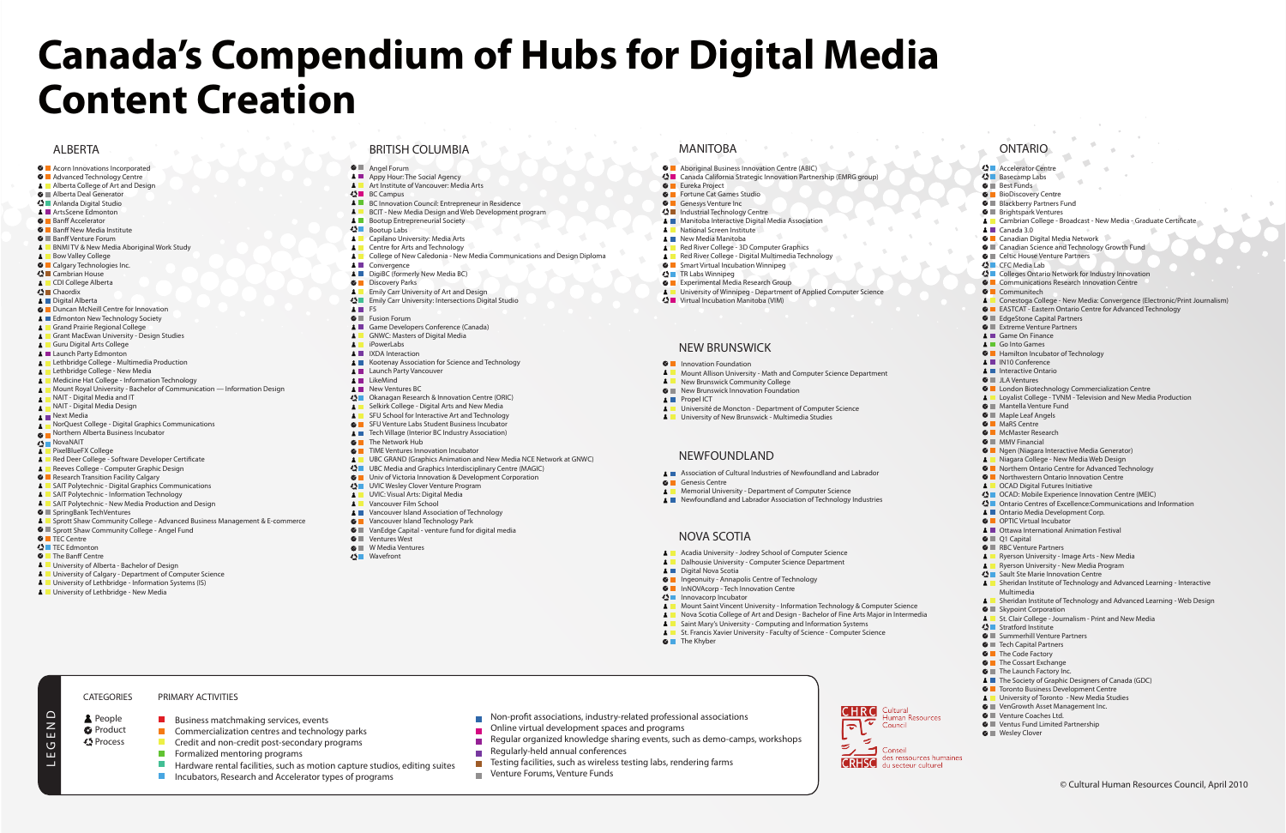**CHRC** Cultural

 $\overline{\bm{v}}$  $\overline{\mathbf{c}}$ 

S

 $\blacktriangleright$ 

**Human Resources** 

Council

 $\Box$  Conseil

**CRHSC** des ressources hun

Okanagan Research & Innovation Centre (ORIC) Selkirk College - Digital Arts and New Media SFU School for Interactive Art and Technology **G** SFU Venture Labs Student Business Incubator Tech Village (Interior BC Industry Association)

**G** TIME Ventures Innovation Incubator

 $\bigcirc$  UVIC Wesley Clover Venture Program **A** UVIC: Visual Arts: Digital Media **A** Vancouver Film School

**A** Vancouver Island Association of Technology  $\bullet$  Vancouver Island Technology Park

 $\bullet$  **VanEdge Capital - venture fund for digital media** 

- $\bullet$  **Angel Forum**
- **A Appy Hour: The Social Agency A Art Institute of Vancouver: Media Arts**

**A** BC Innovation Council: Entrepreneur in Residence **A** BCIT - New Media Design and Web Development program

 $\bullet$  BC Campus

 $\bullet$  Bootup Labs

**A** Convergence

**A** iPowerLabs **A** IXDA Interaction

**LikeMind A** New Ventures BC

 $\mathbf{A}$  $\mathbf{A}$ 

**A** Launch Party Vancouver

 $\bullet$  The Network Hub

 $\bullet$  **Ventures West G** W Media Ventures Wavefront

 $F5$ **G** Fusion Forum

**O** Discovery Parks

**C** Eureka Project **C** Fortune Cat Games Studio **G** Genesys Venture Inc Industrial Technology Centre

**A** National Screen Institute **A** New Media Manitoba

**<3** TR Labs Winnipeg

 $\bullet$  Innovation Foundation

**A** Propel ICT

**G** Genesis Centre

**A** Digital Nova Scotia

**A** People **O** Product Process

- **C** Banff New Media Institute  $\bullet$  **Banff Venture Forum**
- **A** BNMI TV & New Media Aboriginal Work Study
- 
- 
- **<S** Cambrian House
- **A** CDI College Alberta
- Chaordix
- **A** Digital Alberta
	-
- 
- 
- 
- **A** Launch Party Edmonton
- **A** Lethbridge College Multimedia Production
- 
- 
- 
- 
- 
- NAIT Digital Media Design
- 
- **A** NorQuest College Digital Graphics Communications
- 
- 
- 
- 
- **A** Red Deer College Software Developer Certificate
- $\mathbf{A}$ Reeves College - Computer Graphic Design
- **C** Research Transition Facility Calgary
- **A** SAIT Polytechnic Digital Graphics Communications
- **A** SAIT Polytechnic Information Technology
- **A** SAIT Polytechnic New Media Production and Design
- 
- 
- 
- 
- 
- 
- 
- 
- 
- 
- 

 $\blacksquare$  Commercialization centres and technology parks Credit and non-credit post-secondary programs

Incubators, Research and Accelerator types of programs

 $\blacksquare$  Hardware rental facilities, such as motion capture studios, editing suites

- **G** Sprott Shaw Community College Angel Fund
- **C** TEC Centre
- $\bigcirc$  TEC Edmonton

| <b>&lt;3</b> Accelerator Centre                                                                                                                 |
|-------------------------------------------------------------------------------------------------------------------------------------------------|
| <b>◆</b> Basecamp Labs                                                                                                                          |
| <b>O</b> Best Funds                                                                                                                             |
| <b>O</b> BioDiscovery Centre                                                                                                                    |
| <b>O</b> Blackberry Partners Fund<br><b>● ■</b> Brightspark Ventures                                                                            |
| ▲ Cambrian College - Broadcast - New Media - Graduate Certificate                                                                               |
| $\triangle$ $\blacksquare$ Canada 3.0                                                                                                           |
| <b>■</b> Canadian Digital Media Network                                                                                                         |
| Canadian Science and Technology Growth Fund                                                                                                     |
| <b>O Lettic House Venture Partners</b>                                                                                                          |
| <b>⇔</b> CFC Media Lab                                                                                                                          |
| < ■ Colleges Ontario Network for Industry Innovation                                                                                            |
| <b>C</b> Communications Research Innovation Centre                                                                                              |
| <b>O</b> Communitech                                                                                                                            |
| A Conestoga College - New Media: Convergence (Electronic/Print Journalism)<br><b>C EASTCAT</b> - Eastern Ontario Centre for Advanced Technology |
| <b>■</b> EdgeStone Capital Partners                                                                                                             |
| <b>O</b> Extreme Venture Partners                                                                                                               |
| <b>4</b> Game On Finance                                                                                                                        |
| <b>4</b> Go Into Games                                                                                                                          |
| <b>C</b> Hamilton Incubator of Technology                                                                                                       |
| <b>A</b> M10 Conference                                                                                                                         |
| <b>A</b> Interactive Ontario                                                                                                                    |
| <b>O</b> II JLA Ventures                                                                                                                        |
| <b>C</b> London Biotechnology Commercialization Centre<br><b>A</b> Loyalist College - TVNM - Television and New Media Production                |
| <b>©</b> ■ Mantella Venture Fund                                                                                                                |
| $\bullet$ <b>Maple Leaf Angels</b>                                                                                                              |
| <b>C</b> MaRS Centre                                                                                                                            |
| <b>O</b> McMaster Research                                                                                                                      |
| $\bullet$ $\blacksquare$ MMV Financial                                                                                                          |
| <b>C</b> Ngen (Niagara Interactive Media Generator)                                                                                             |
| <b>A</b> Niagara College - New Media Web Design                                                                                                 |
| <b>C</b> Northern Ontario Centre for Advanced Technology                                                                                        |
| <b>C</b> Northwestern Ontario Innovation Centre<br><b>4</b> OCAD Digital Futures Initiative                                                     |
| <b>⇔</b> OCAD: Mobile Experience Innovation Centre (MEIC)                                                                                       |
| $\mathbf{\Omega}$ Ontario Centres of Excellence: Communications and Information                                                                 |
| ▲ ■ Ontario Media Development Corp.                                                                                                             |
| <b>O</b> OPTIC Virtual Incubator                                                                                                                |
| ▲ ■ Ottawa International Animation Festival                                                                                                     |
| $\bullet$ $\Box$ Q1 Capital                                                                                                                     |
| <b>■</b> RBC Venture Partners                                                                                                                   |
| <b>A</b> Ryerson University - Image Arts - New Media                                                                                            |
| <b>A</b> Ryerson University - New Media Program<br><b>⇔</b> Sault Ste Marie Innovation Centre                                                   |
| Sheridan Institute of Technology and Advanced Learning - Interactive                                                                            |
| Multimedia                                                                                                                                      |
| Sheridan Institute of Technology and Advanced Learning - Web Design                                                                             |
| <b>◎ ■</b> Skypoint Corporation                                                                                                                 |
| St. Clair College - Journalism - Print and New Media                                                                                            |
| <b>⇔</b> Stratford Institute                                                                                                                    |
| <b>■</b> Summerhill Venture Partners<br><b>O Tech Capital Partners</b>                                                                          |
| <b>O</b> The Code Factory                                                                                                                       |
| <b>O</b> The Cossart Exchange                                                                                                                   |
| <b>O</b> The Launch Factory Inc.                                                                                                                |
| The Society of Graphic Designers of Canada (GDC)                                                                                                |
| <b>O</b> Toronto Business Development Centre                                                                                                    |
| <b>A</b> University of Toronto - New Media Studies                                                                                              |
| <b>©</b> ■ VenGrowth Asset Management Inc.                                                                                                      |
| <b>©</b> ■ Venture Coaches Ltd.<br><b>● ■</b> Ventus Fund Limited Partnership                                                                   |
| <b>©</b> ■ Wesley Clover                                                                                                                        |
|                                                                                                                                                 |
|                                                                                                                                                 |
|                                                                                                                                                 |

Canada California Strategic Innovation Partnership (EMRG group)

**A** University of Winnipeg - Department of Applied Computer Science

A Mount Allison University - Math and Computer Science Department

**A** Université de Moncton - Department of Computer Science **A** University of New Brunswick - Multimedia Studies

A Association of Cultural Industries of Newfoundland and Labrador

**A** Memorial University - Department of Computer Science **A** Newfoundland and Labrador Association of Technology Industries

A **Acadia University - Jodrey School of Computer Science A** Dalhousie University - Computer Science Department

**A** Gaint Mary's University - Computing and Information Systems **A** St. Francis Xavier University - Faculty of Science - Computer Science

**A** Mount Saint Vincent University - Information Technology & Computer Science A Nova Scotia College of Art and Design - Bachelor of Fine Arts Major in Intermedia

 $\bullet$  Ingeonuity - Annapolis Centre of Technology **O** InNOVAcorp - Tech Innovation Centre

**A** College of New Caledonia - New Media Communications and Design Diploma

**A** UBC GRAND (Graphics Animation and New Media NCE Network at GNWC)

 $\mathcal{C}^{\mathcal{A}}$ 

П

П  $\mathbf{r}$ 

© UBC Media and Graphics Interdisciplinary Centre (MAGIC) **O Univ of Victoria Innovation & Development Corporation** 

- $\bullet$  **Acorn Innovations Incorporated**  $\bullet$  **Advanced Technology Centre**
- A **Alberta College of Art and Design**
- **O Alberta Deal Generator**
- Anlanda Digital Studio
- **A** ArtsScene Edmonton
- **O** Banff Accelerator
- 
- **A** Bow Valley College
- **C** Calgary Technologies Inc.
- 
- 
- 
- 
- **C** Duncan McNeill Centre for Innovation
- **Edmonton New Technology Society**
- **4** Grand Prairie Regional College
- **A** Grant MacEwan University Design Studies
- **A** Guru Digital Arts College
- 
- 
- Lethbridge College New Media
- Medicine Hat College Information Technology
- **A** Mount Royal University Bachelor of Communication Information Design
- **A** MAIT Digital Media and IT
- 
- **A** Next Media
- 
- **O** Northern Alberta Business Incubator
- **<S** NovaNAIT
- **A** PixelBlueFX College
- 
- 
- 
- 
- 
- 
- 
- **O** SpringBank TechVentures
- **A** Sprott Shaw Community College Advanced Business Management & E-commerce

 $\blacksquare$  Business matchmaking services, events

 $\blacksquare$  Formalized mentoring programs

Virtual Incubation Manitoba (VIM)

**A** New Brunswick Community College **O New Brunswick Innovation Foundation** 

ALBERTA BRITISH COLUMBIA MANITOBA ONTARIO

**A** Bootup Entrepreneurial Society

**A** Capilano University: Media Arts **A** Centre for Arts and Technology

**A** DigiBC (formerly New Media BC)

**A** Emily Carr University of Art and Design © Emily Carr University: Intersections Digital Studio

**A** Game Developers Conference (Canada) **A GNWC: Masters of Digital Media** 

Kootenay Association for Science and Technology

NEW BRUNSWICK

NEWFOUNDLAND

NOVA SCOTIA

 $\Omega$  Innovacorp Incubator

 $\bullet$  The Khyber

# **Canada's Compendium of Hubs for Digital Media Content Creation**

**O Aboriginal Business Innovation Centre (ABIC)** 

**A Manitoba Interactive Digital Media Association** 

Red River College - 3D Computer Graphics **A** Red River College - Digital Multimedia Technology

**G** Smart Virtual Incubation Winnipeg

**C** Experimental Media Research Group

Non-profit associations, industry-related professional associations

Online virtual development spaces and programs

Regular organized knowledge sharing events, such as demo-camps, workshops

Regularly-held annual conferences

Testing facilities, such as wireless testing labs, rendering farms

Venture Forums, Venture Funds

L E G E N D

 $\overline{G}$ 

ய

 $\frac{0}{z}$ 

- **G** The Banff Centre
- **A** University of Alberta Bachelor of Design
- **A** University of Calgary Department of Computer Science
- **A** University of Lethbridge Information Systems (IS)
- **A** University of Lethbridge New Media

CATEGORIES

PRIMARY ACTIVITIES

 $\mathcal{L}_{\mathcal{A}}$